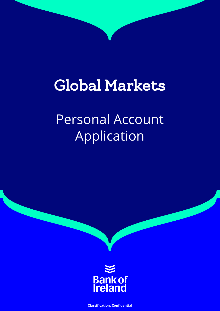# Global Markets

# Personal Account Application

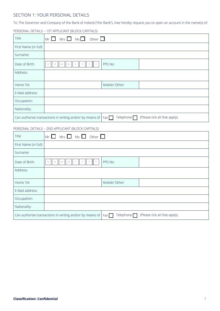## SECTION 1: YOUR PERSONAL DETAILS

To: The Governor and Company of the Bank of Ireland (''the Bank''), I/we hereby request you to open an account in the name(s) of:

PERSONAL DETAILS – 1ST APPLICANT (BLOCK CAPITALS)

| Title                                                                                                                    | $Mrs$ $Ms$<br>Other $\Box$<br>$Mr$ $\Box$                                                  |                  |                               |
|--------------------------------------------------------------------------------------------------------------------------|--------------------------------------------------------------------------------------------|------------------|-------------------------------|
| First Name (in full):                                                                                                    |                                                                                            |                  |                               |
| Surname:                                                                                                                 |                                                                                            |                  |                               |
| Date of Birth:                                                                                                           | $\mathbb M$<br>$\mathbb M$<br>$\mathsf D$<br>D<br>Y<br>Υ<br>Υ<br>Y                         | PPS No:          |                               |
| Address:                                                                                                                 |                                                                                            |                  |                               |
| Home Tel:                                                                                                                |                                                                                            | Mobile/ Other:   |                               |
| E-Mail address:                                                                                                          |                                                                                            |                  |                               |
| Occupation:                                                                                                              |                                                                                            |                  |                               |
| Nationality:                                                                                                             |                                                                                            |                  |                               |
|                                                                                                                          | Can authorise transactions in writing and/or by means of $\vert$ Fax                       | Telephone $\Box$ | (Please tick all that apply). |
|                                                                                                                          | PERSONAL DETAILS - 2ND APPLICANT (BLOCK CAPITALS)                                          |                  |                               |
| Title                                                                                                                    | $Ms \Box$ Other $\Box$<br>$Mrs$ $\Box$<br>Mr<br>$\mathbf{1}$                               |                  |                               |
| First Name (in full):                                                                                                    |                                                                                            |                  |                               |
| Surname:                                                                                                                 |                                                                                            |                  |                               |
| Date of Birth:                                                                                                           | $\mathbb M^-$<br>$\mathbb{M}$<br>$\mathsf D$<br>$\mathsf{Y}$<br>Y<br>$\mathsf D$<br>Y<br>Y | PPS No:          |                               |
| Address:                                                                                                                 |                                                                                            |                  |                               |
| Home Tel:                                                                                                                |                                                                                            | Mobile/ Other:   |                               |
| E-Mail address:                                                                                                          |                                                                                            |                  |                               |
| Occupation:                                                                                                              |                                                                                            |                  |                               |
| Nationality:                                                                                                             |                                                                                            |                  |                               |
| Telephone $\Box$<br>(Please tick all that apply).<br>Can authorise transactions in writing and/or by means of $ $<br>Fax |                                                                                            |                  |                               |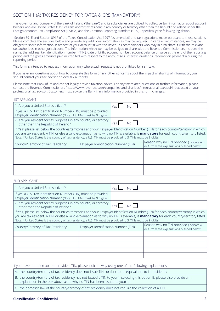## SECTION 1 (A) TAX RESIDENCY FOR FATCA & CRS (MANDATORY)

The Governor and Company of the Bank of Ireland ("the Bank") and its subsidiaries are obliged, to collect certain information about account holders who are United States ('U.S') citizens and/or tax resident in any country or territory other than the Republic of Ireland under the Foreign Accounts Tax Compliance Act ('FATCA') and the Common Reporting Standard ('CRS') - specifically the following legislation:

-Section 891E and Section 891F of the Taxes Consolidation Act 1997 (as amended) and tax regulations made pursuant to those sections. Please complete the sections below and provide any additional information as may be required. In certain circumstances, we may be obliged to share information in respect of your account(s) with the Revenue Commissioners who may in turn share it with the relevant tax authorities in other jurisdictions. The information which we may be obliged to share with the Revenue Commissioners includes the name, the address, tax identification number ('TIN'), date of birth, account number, account balance or value at the end of the reporting period and the gross amounts paid or credited with respect to the account (e.g. interest, dividends, redemption payments) during the reporting period.

This form is intended to request information only where such request is not prohibited by Irish Law.

If you have any questions about how to complete this form or any other concerns about the impact of sharing of information, you should contact your tax advisor or local tax authority.

Please note that Bank of Ireland cannot legally provide taxation advice. For any tax related questions or further information, please contact the Revenue Commissioners (https://www.revenue.ie/en/companies-and-charities/international-tax/aeoi/index.aspx) or your professional tax advisor. Customers must advise the Bank if any information provided in this form changes.

1ST APPLICANT

| 1. Are you a United States citizen?                                                                                                                                                                                                                                                                                                                                                                           |                                      | Yes<br>No.    |                                                                                         |
|---------------------------------------------------------------------------------------------------------------------------------------------------------------------------------------------------------------------------------------------------------------------------------------------------------------------------------------------------------------------------------------------------------------|--------------------------------------|---------------|-----------------------------------------------------------------------------------------|
| If yes, a U.S. Tax Identification Number (TIN) must be provided.<br>Taxpayer Identification Number (Note: U.S. TINs must be 9 digits)                                                                                                                                                                                                                                                                         |                                      |               |                                                                                         |
| 2. Are you resident for tax purposes in any country or territory<br>other than the Republic of Ireland?                                                                                                                                                                                                                                                                                                       |                                      | No L<br>, Yes |                                                                                         |
| If 'Yes', please list below the countries/territories and your Taxpayer Identification Number (TIN) for each country/territory in which<br>you are tax resident. A TIN, or else a valid explanation as to why no TIN is available, is <b>mandatory</b> for each country/territory listed.<br>Note: if United States is the country of tax residency, a U.S. TIN must be provided. U.S. TINs must be 9 digits. |                                      |               |                                                                                         |
| Country/Territory of Tax Residency                                                                                                                                                                                                                                                                                                                                                                            | Taxpayer Identification Number (TIN) |               | Reason why no TIN provided (indicate A, B<br>or C from the explanations outlined below) |
|                                                                                                                                                                                                                                                                                                                                                                                                               |                                      |               |                                                                                         |
|                                                                                                                                                                                                                                                                                                                                                                                                               |                                      |               |                                                                                         |
|                                                                                                                                                                                                                                                                                                                                                                                                               |                                      |               |                                                                                         |
|                                                                                                                                                                                                                                                                                                                                                                                                               |                                      |               |                                                                                         |
|                                                                                                                                                                                                                                                                                                                                                                                                               |                                      |               |                                                                                         |

2ND APPLICANT

| 1. Are you a United States citizen?                                                                                                                                                                                                                                                                                                                                                                           |  | Vac.        |                                                                                         |
|---------------------------------------------------------------------------------------------------------------------------------------------------------------------------------------------------------------------------------------------------------------------------------------------------------------------------------------------------------------------------------------------------------------|--|-------------|-----------------------------------------------------------------------------------------|
| If yes, a U.S. Tax Identification Number (TIN) must be provided.<br>Taxpayer Identification Number (Note: U.S. TINs must be 9 digits)                                                                                                                                                                                                                                                                         |  |             |                                                                                         |
| 2. Are you resident for tax purposes in any country or territory<br>other than the Republic of Ireland?                                                                                                                                                                                                                                                                                                       |  | No l<br>Yes |                                                                                         |
| If 'Yes', please list below the countries/territories and your Taxpayer Identification Number (TIN) for each country/territory in which<br>you are tax resident. A TIN, or else a valid explanation as to why no TIN is available, is <b>mandatory</b> for each country/territory listed.<br>Note: if United States is the country of tax residency, a U.S. TIN must be provided. U.S. TINs must be 9 digits. |  |             |                                                                                         |
| Country/Territory of Tax Residency<br>Taxpayer Identification Number (TIN)                                                                                                                                                                                                                                                                                                                                    |  |             | Reason why no TIN provided (indicate A, B<br>or C from the explanations outlined below) |
|                                                                                                                                                                                                                                                                                                                                                                                                               |  |             |                                                                                         |
|                                                                                                                                                                                                                                                                                                                                                                                                               |  |             |                                                                                         |
|                                                                                                                                                                                                                                                                                                                                                                                                               |  |             |                                                                                         |
|                                                                                                                                                                                                                                                                                                                                                                                                               |  |             |                                                                                         |
|                                                                                                                                                                                                                                                                                                                                                                                                               |  |             |                                                                                         |

If you have not been able to provide a TIN, please indicate why using one of the following explanations:

A. the country/territory of tax residency does not issue TINs or functional equivalents to its residents;

- B. the country/territory of tax residency has not issued a TIN to you (if selecting this option B, please also provide an explanation in the box above as to why no TIN has been issued to you); or
- C. the domestic law of the country/territory of tax residency does not require the collection of a TIN.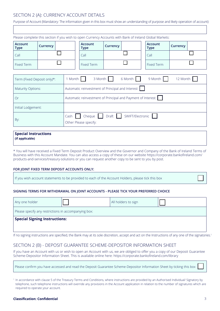## SECTION 2 (A): CURRENCY ACCOUNT DETAILS

Purpose of Account (Mandatory: The information given in this box must show an understanding of purpose and likely operation of account)

|                               | Please complete this section if you wish to open Currency Accounts with Bank of Ireland Global Markets: |                                                             |                                 |          |                  |                               |          |
|-------------------------------|---------------------------------------------------------------------------------------------------------|-------------------------------------------------------------|---------------------------------|----------|------------------|-------------------------------|----------|
| <b>Account</b><br><b>Type</b> | Currency                                                                                                |                                                             | <b>Account</b><br><b>Type</b>   | Currency |                  | <b>Account</b><br><b>Type</b> | Currency |
| Call                          |                                                                                                         |                                                             | Call                            |          |                  | Call                          |          |
| <b>Fixed Term</b>             |                                                                                                         |                                                             | <b>Fixed Term</b>               |          |                  | <b>Fixed Term</b>             |          |
|                               |                                                                                                         |                                                             |                                 |          |                  |                               |          |
| Term (Fixed Deposit only)*:   |                                                                                                         | 1 Month<br>3 Month<br>6 Month<br>9 Month<br>12 Month        |                                 |          |                  |                               |          |
| <b>Maturity Options:</b>      |                                                                                                         | Automatic reinvestment of Principal and Interest            |                                 |          |                  |                               |          |
| <b>Or</b>                     |                                                                                                         | Automatic reinvestment of Principal and Payment of Interest |                                 |          |                  |                               |          |
| Initial Lodgement:            |                                                                                                         |                                                             |                                 |          |                  |                               |          |
| By:                           |                                                                                                         | Cash                                                        | Cheque<br>Other Please specify: | Draft    | SWIFT/Electronic |                               |          |

#### **Special Instructions (if applicable)**

\* You will have received a Fixed Term Deposit Product Overview and the Governor and Company of the Bank of Ireland Terms of Business with this Account Mandate. You can also access a copy of these on our website https://corporate.bankofireland.com/ products-and-services/treasury-solutions or you can request another copy to be sent to you by post.

## **FOR JOINT FIXED TERM DEPOSIT ACCOUNTS ONLY:**

If you wish account statements to be provided to each of the Account Holders, please tick this box

## **SIGNING TERMS FOR WITHDRAWAL ON JOINT ACCOUNTS - PLEASE TICK YOUR PREFERRED CHOICE**

| Any one holder                                       |  | All holders to sign |  |  |  |
|------------------------------------------------------|--|---------------------|--|--|--|
| Please specify any restrictions in accompanying box: |  |                     |  |  |  |
| <b>Special Signing Instructions:</b>                 |  |                     |  |  |  |
|                                                      |  |                     |  |  |  |

If no signing instructions are specified, the Bank may at its sole discretion, accept and act on the Instructions of any one of the signatories.<sup>1</sup>

## SECTION 2 (B) - DEPOSIT GUARANTEE SCHEME-DEPOSITOR INFORMATION SHEET

If you have an Account with us or wish to open an Account with us, we are obliged to offer you a copy of our Deposit Guarantee Scheme-Depositor Information Sheet. This is available online here: https://corporate.bankofireland.com/library

| Please confirm you have accessed and read the Deposit Guarantee Scheme-Depositor Information Sheet by ticking this box |  |  |
|------------------------------------------------------------------------------------------------------------------------|--|--|
|                                                                                                                        |  |  |

<sup>1</sup> In accordance with clause 5 of the Treasury Terms and Conditions, where instructions are provided by an Authorised Individual/ Signatory by telephone, such telephone instructions will override any provisions in the Account application in relation to the number of signatures which are required to operate your account.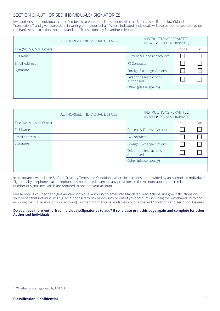## SECTION 3: AUTHORISED INDIVIDUALS/ SIGNATORIES

I/we authorise the individual(s) specified below to enter into Transactions with the Bank as specified below ("Mandated Transactions") and give Instructions in writing on my/our behalf. Where indicated, individuals will also be authorised to provide the Bank with Instructions for the Mandated Transactions by fax and/or telephone.

|                            | AUTHORISED INDIVIDUAL DETAILS | <b>INSTRUCTIONS PERMITTED</b><br>(PLEASE ✔ TICK AS APPROPRIATE) |       |     |
|----------------------------|-------------------------------|-----------------------------------------------------------------|-------|-----|
| Title (Mr, Ms, Mrs, Other) |                               |                                                                 | Phone | Fax |
| Full Name                  |                               | Current & Deposit Accounts                                      |       |     |
| Email Address              |                               | <b>FX Contracts<sup>1</sup></b>                                 |       |     |
| Signature                  |                               | Foreign Exchange Options                                        |       |     |
|                            |                               | Telephone Instructions<br>Authorised                            |       |     |
|                            |                               | Other (please specify)                                          |       |     |
|                            |                               |                                                                 |       |     |

|                            | AUTHORISED INDIVIDUAL DETAILS | <b>INSTRUCTIONS PERMITTED</b><br>(PLEASE ✔ TICK AS APPROPRIATE) |       |     |
|----------------------------|-------------------------------|-----------------------------------------------------------------|-------|-----|
| Title (Mr, Ms, Mrs, Other) |                               |                                                                 | Phone | Fax |
| Full Name                  |                               | Current & Deposit Accounts                                      |       |     |
| Email address              |                               | <b>FX Contracts<sup>1</sup></b>                                 |       |     |
| Signature                  |                               | Foreign Exchange Options                                        |       |     |
|                            |                               | Telephone Instructions<br>Authorised                            |       |     |
|                            |                               | Other (please specify)                                          |       |     |
|                            |                               |                                                                 |       |     |

In accordance with clause 5 of the Treasury Terms and Conditions, where instructions are provided by an Authorised Individual/ Signatory by telephone, such telephone instructions will override any provisions in the Account application in relation to the number of signatures which are required to operate your account.

Please note, if you decide to give another individual authority to enter into Mandated Transactions and give Instructions on your behalf that individual will e.g. be authorised to pay money into or out of your account (including the withdrawal up to and including the full balance on your account). Further information is available in our Terms and Conditions and Terms of Business.

#### **Do you have more Authorised Individuals/Signatories to add? If so, please print this page again and complete for other Authorised Individuals.**

<sup>1</sup> Whether or not regulated by MiFID II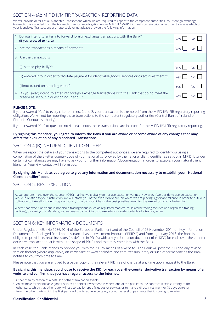## SECTION 4 (A): MIFID II/MIFIR TRANSACTION REPORTING DATA

We will provide details of all Mandated Transactions which we are required to report to the competent authorities. Your foreign exchange transaction is excluded from the transaction reporting obligation under MiFID II / MiFIR if it meets certain criteria. In order to assess which of your Mandated Transactions are reportable or not please provide the following information:

| 1. Do you intend to enter into forward foreign exchange transactions with the Bank?<br>(If yes, proceed to no. 2)                                     | Yes I<br>No l            |
|-------------------------------------------------------------------------------------------------------------------------------------------------------|--------------------------|
| 2. Are the transactions a means of payment?                                                                                                           | Yes I                    |
| 3. Are the transactions                                                                                                                               |                          |
| (i) settled physically? <sup>1</sup> ;                                                                                                                | No <sub>1</sub><br>Yes I |
| (ii) entered into in order to facilitate payment for identifiable goods, services or direct investment? <sup>2</sup> ;                                | Yes  <br>No I            |
| (iii) not traded on a trading venue?                                                                                                                  | Yes  <br>No L            |
| 4. Do you (also) intend to enter into foreign exchange transactions with the Bank that do no meet the<br>criteria as set out in question no. 2 and 3? | <b>Yes</b>               |

## **PLEASE NOTE:**

If you answered "Yes" to every criterion in no. 2 and 3, your transaction is exempted from the MiFID II/MiFIR regulatory reporting obligation. We will not be reporting these transactions to the competent regulatory authorities (Central Bank of Ireland or Financial Conduct Authority).

If you answered "Yes" to question no 4, please note, these transactions are in scope for the MiFID II/MiFIR regulatory reporting.

## **By signing this mandate, you agree to inform the Bank if you are aware or become aware of any changes that may affect the evaluation of any Mandated Transactions.**

## SECTION 4 (B): NATURAL CLIENT IDENTIFIER

When we report the details of your transactions to the competent authorities, we are required to identify you using a combination of the 2-letter country code of your nationality, followed by the national client identifier as set out in MiFID II. Under certain circumstances we may have to ask you for further information/documentation in order to establish your natural client identifier. Your GM contact will inform you.

## **By signing this Mandate, you agree to give any information and documentation necessary to establish your "National Client Identifier" code.**

## SECTION 5: BEST EXECUTION

As we operate in the over-the-counter (OTC) market, we typically do not use execution venues. However, if we decide to use an execution venue in relation to your Instruction, we will inform you of the execution venue on which we are placing significant reliance in order to fulfil our obligation to take all sufficient steps to obtain, on a consistent basis, the best possible result for the execution of your Instruction.

Where that execution venue is not also a trading venue (such as regulated markets, multilateral trading facilities and organised trading facilities), by signing this Mandate, you expressly consent to us to execute your order outside of a trading venue.

## SECTION 6: KEY INFORMATION DOCUMENTS

Under Regulation (EU) No 1286/2014 of the European Parliament and of the Council of 26 November 2014 on Key Information Documents for Packaged Retail and Insurance-based Investment Products ("PRIIPs") and from 1 January 2018, the Bank is obliged to provide its retail investors (as defined in PRIIPs) with a key information document (the "KID") for each over-the-counter derivative transaction that is within the scope of PRIIPs and that they enter into with the Bank.

In each case, the Bank intends to provide you with the KID by means of a website. The Bank will post the KID and any revised version thereof (where applicable) on its website at www.bankofireland.com/treasurylibrary or such other website as the Bank notifies to you from time to time.

Please note that you are entitled to a paper copy of the relevant KID free of charge at any time upon request to the Bank.

#### **By signing this mandate, you choose to receive the KID for each over-the-counter derivative transaction by means of a website and confirm that you have regular access to the internet.**

- <sup>1</sup> Other than by reason of a default or other termination events.
- <sup>2</sup> An example for "identifiable goods, services or direct investment" is where one of the parties to the contract (i) sells currency to the other party which that other party will use to pay for specific goods or services or to make a direct investment or (ii) buys currency from the other party which the first party will use to achieve certainty about the level of payments that it is going to receive.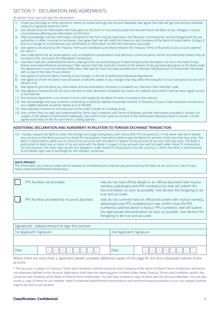# SECTION 7 - DECLARATION AND AGREEMENTS

#### All parties must read and sign this declaration.

- 1) If I/we use DocuSign or other electronic means to receive and sign the Account Mandate, I/we agree that I/we will sign the Account Mandate using an e-signature electronic form.
- 2) I/we declare that the information I/we have given on this form is true and accurate and I/we will inform the Bank of any changes in my/our circumstances affecting any information on this form.
- 3) I/We acknowledge that the information contained in this form may be reported to the Revenue Commissioners and exchanged with the tax authorities in other countries or territories. I/we agree that I/we will notify the Governor and Company of the Bank of Ireland within 30 days if, due to a change of circumstances, any certification or information on this form becomes inaccurate.
- 4) I/we agree to be bound by the Treasury Terms and Conditions and where relevant the Treasury Terms of Business of any account opened for me/us.\*
- 5) I/we understand that all conversations such as telephone conversations and electronic communications will be recorded (even where they do not lead to the conclusion of a Mandated Transaction). .
- 6) I/we have read and understood the terms relating to the use and disclosure of data and personal information set out in the Data Privacy Notice (www.bankofireland.com/privacy). I/We warrant that I/we have the consent of the owners of any personal data given to the Bank under this Agreement to use and disclose these data. I/We warrant that I/we have provided each relevant individual (such as Authorised Individual) with a copy of the Data Privacy Notice.
- 7) I/we agree to notify the Bank in writing of any changes to the list of Authorised Individuals/Signatories.
- 8) I/we agree to inform the Bank if we are aware or become aware of any changes that may affect the evaluation of our transaction as set out in Section 4 (A)
- 9) I/we agree to give the Bank any information and documentation necessary to establish our National Client Identifier code.
- 10) I/we agree to receive the KID for each over-the counter derivative transaction by means of a website and confirm that we have regular access to the internet.
- 11) This Account Application is to remain in force until receipt by the Bank of notice in writing to the contrary.
- 12) I/we acknowledge that your scheme is covered by a Statutory Deposit Guarantee Scheme. If insolvency of your credit institution should occur your eligible deposits would be repaid up to €100,000.
- 13) I/we expressly consents to the execution of the order outside of a trading venue.
- 14) I/we confirm that I've read and understood the Terms and Conditions and Terms of Business and the information provided in Section 3 in respect of the powers of Authorised Individuals. I/we confirm that I give my consent to the Authorised Individuals listed in Section 3 to be signed authorities on the Account which is being opened.

## **ADDITIONAL DECLARATION AND AGREEMENT IN RELATION TO FOREIGN EXCHANGE TRANSACTION**

15) I hereby request the Bank to enter into foreign exchange transactions with me/us (the "FX transactions"). In the event I/we fail to deliver any currency to the Bank pursuant to these FX transactions, I/we will be liable to pay the Bank the amount of any loss that may arise. The Bank is authorised to debit one or more of my accounts with the Bank in respect of any amount of any loss that may arise. The Bank is authorised to debit one or more of my accounts with the Bank in respect of any amount due and not paid under these FX transactions. For this purpose, the Bank may convert any obligation under these FX transactions in to the currency in which the other is denominated at the Bank's spot rate of exchange for the relevant currencies.

#### **DATA PRIVACY**

The information you have provided will be treated as confidential and retained and processed by the Bank as set out in our Data Privacy Notice (www.bankofireland.com/privacy).

| PPS Number not provided.                   | I/we do not have official details or an official document with my/our<br>name(s), address(es) and PPS number(s) but I/we will submit this<br>documentation as soon as possible. I/we declare the foregoing to be<br>true and accurate.                                                                                 |
|--------------------------------------------|------------------------------------------------------------------------------------------------------------------------------------------------------------------------------------------------------------------------------------------------------------------------------------------------------------------------|
| PPS Number provided but no proof attached. | I/we do not currently have an official document with my/our name(s),<br>address(es) and PPS number(s) but I/we confirm that the PPS<br>number(s) outlined above is my/our PPS number(s). I/we will submit<br>the appropriate documentation as soon as possible. I/we declare the<br>foregoing to be true and accurate. |

| Signatures - please ensure to sign this section |  |                           |  |  |
|-------------------------------------------------|--|---------------------------|--|--|
| 1st Applicant's Signature                       |  | 2nd Applicant's Signature |  |  |
|                                                 |  |                           |  |  |
| Date                                            |  | Date                      |  |  |

Where there are more than 2 applicants please complete additional copies of this page for 3rd and subsequent parties to the account.

\* This account is subject to Treasury Terms and Conditions and the Governor and Company of the Bank of Ireland Terms of Business and terms not otherwise defined in this Account Application shall have the meaning given to them under these Treasury Terms and Conditions and/or the Governor and Company of the Bank of Ireland Terms of Business. You will have received a copy of these with this Account Mandate. You can also access a copy of these on our website. https://corporate.bankofireland.com/products-and-services/treasury-solutions or you can request another copy to be sent to you by post.